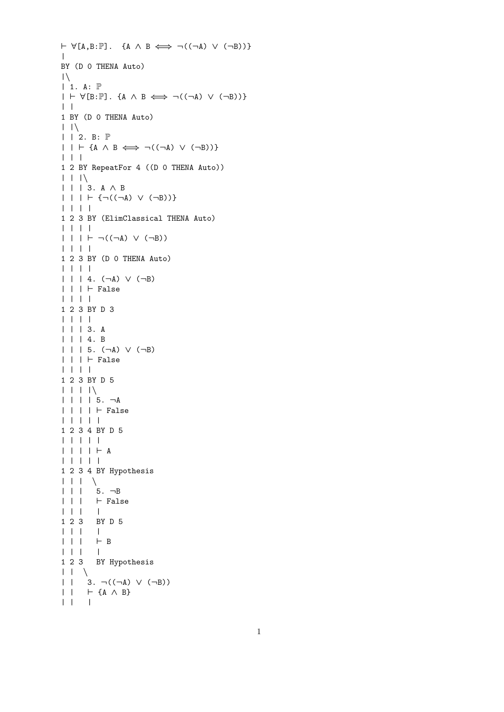```
\vdash \forall [A,B:\mathbb{P}]. {A \land B \Longleftrightarrow \neg((\neg A) \lor (\neg B))}
\perpBY (D 0 THENA Auto)
|\setminus|| 1. A: P
| \vdash \forall [B:\mathbb{P}]. {A \land B \iff \neg((\neg A) \lor (\neg B))}
| |1 BY (D 0 THENA Auto)
| \ | \ \n\mathcal{N}| | 2. B: \mathbb{P}| | | \vdash {A \land B \Longleftrightarrow \neg((\neg A) \lor (\neg B))}
| | |
1 2 BY RepeatFor 4 ((D 0 THENA Auto))
| \ \ | \ \ | \ \ || | | 3. A ∧ B
| | | + { \neg((\neg A) \vee (\neg B)) }| | | |
1 2 3 BY (ElimClassical THENA Auto)
| | | |
| | | + \neg((\neg A) \vee (\neg B))| | | |
1 2 3 BY (D 0 THENA Auto)
| | | |
| | | 4. (¬A) ∨ (¬B)
| | | | \vdash False
| | | |
1 2 3 BY D 3
| | | |
| | | 3. A
| | | 4. B
| | | 5. (¬A) ∨ (¬B)
| | | ` False
| | | |
1 2 3 BY D 5
| | | |\
| | | | 5. ¬A
| | | | | | | | False
| | | | |
1 2 3 4 BY D 5
| | | | |
| | | | + A| | | | |
1 2 3 4 BY Hypothesis
| \ \ | \ \ | \ \ || | | 5. ¬B
\begin{array}{ccccc} & | & | & | & \vdash \texttt{False} \\ & | & | & | & \end{array}| | | |
1 2 3 BY D 5
| | | |
| | | | | | | | | | | || | | |
1 2 3 BY Hypothesis
| \ \ | \ \ \ || \vert 3. ¬((¬A) \vee (¬B))
| | | | \uparrow {A \wedge B}
| | |
```